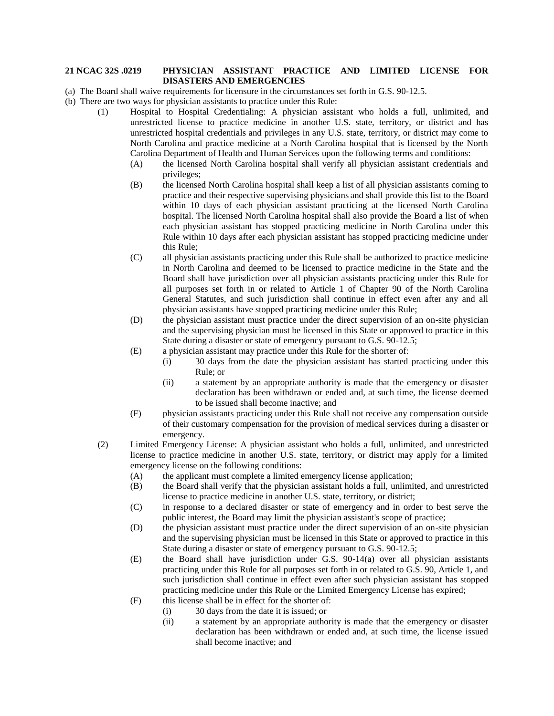## **21 NCAC 32S .0219 PHYSICIAN ASSISTANT PRACTICE AND LIMITED LICENSE FOR DISASTERS AND EMERGENCIES**

- (a) The Board shall waive requirements for licensure in the circumstances set forth in G.S. 90-12.5.
- (b) There are two ways for physician assistants to practice under this Rule:
	- (1) Hospital to Hospital Credentialing: A physician assistant who holds a full, unlimited, and unrestricted license to practice medicine in another U.S. state, territory, or district and has unrestricted hospital credentials and privileges in any U.S. state, territory, or district may come to North Carolina and practice medicine at a North Carolina hospital that is licensed by the North Carolina Department of Health and Human Services upon the following terms and conditions:
		- (A) the licensed North Carolina hospital shall verify all physician assistant credentials and privileges;
		- (B) the licensed North Carolina hospital shall keep a list of all physician assistants coming to practice and their respective supervising physicians and shall provide this list to the Board within 10 days of each physician assistant practicing at the licensed North Carolina hospital. The licensed North Carolina hospital shall also provide the Board a list of when each physician assistant has stopped practicing medicine in North Carolina under this Rule within 10 days after each physician assistant has stopped practicing medicine under this Rule;
		- (C) all physician assistants practicing under this Rule shall be authorized to practice medicine in North Carolina and deemed to be licensed to practice medicine in the State and the Board shall have jurisdiction over all physician assistants practicing under this Rule for all purposes set forth in or related to Article 1 of Chapter 90 of the North Carolina General Statutes, and such jurisdiction shall continue in effect even after any and all physician assistants have stopped practicing medicine under this Rule;
		- (D) the physician assistant must practice under the direct supervision of an on-site physician and the supervising physician must be licensed in this State or approved to practice in this State during a disaster or state of emergency pursuant to G.S. 90-12.5;
		- (E) a physician assistant may practice under this Rule for the shorter of:
			- (i) 30 days from the date the physician assistant has started practicing under this Rule; or
			- (ii) a statement by an appropriate authority is made that the emergency or disaster declaration has been withdrawn or ended and, at such time, the license deemed to be issued shall become inactive; and
		- (F) physician assistants practicing under this Rule shall not receive any compensation outside of their customary compensation for the provision of medical services during a disaster or emergency.
		- (2) Limited Emergency License: A physician assistant who holds a full, unlimited, and unrestricted license to practice medicine in another U.S. state, territory, or district may apply for a limited emergency license on the following conditions:
			- (A) the applicant must complete a limited emergency license application;
			- (B) the Board shall verify that the physician assistant holds a full, unlimited, and unrestricted license to practice medicine in another U.S. state, territory, or district;
			- (C) in response to a declared disaster or state of emergency and in order to best serve the public interest, the Board may limit the physician assistant's scope of practice;
			- (D) the physician assistant must practice under the direct supervision of an on-site physician and the supervising physician must be licensed in this State or approved to practice in this State during a disaster or state of emergency pursuant to G.S. 90-12.5;
			- (E) the Board shall have jurisdiction under G.S. 90-14(a) over all physician assistants practicing under this Rule for all purposes set forth in or related to G.S. 90, Article 1, and such jurisdiction shall continue in effect even after such physician assistant has stopped practicing medicine under this Rule or the Limited Emergency License has expired;
			- (F) this license shall be in effect for the shorter of:
				- (i) 30 days from the date it is issued; or
				- (ii) a statement by an appropriate authority is made that the emergency or disaster declaration has been withdrawn or ended and, at such time, the license issued shall become inactive; and